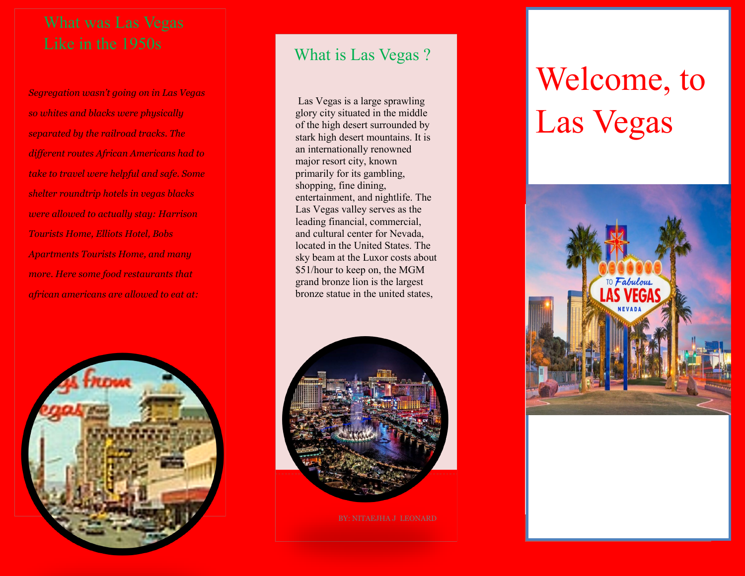# Like in the 1950s

*Segregation wasn't going on in Las Vegas so whites and blacks were physically separated by the railroad tracks. The different routes African Americans had to take to travel were helpful and safe. Some shelter roundtrip hotels in vegas blacks were allowed to actually stay: Harrison Tourists Home, Elliots Hotel, Bobs Apartments Tourists Home, and many more. Here some food restaurants that african americans are allowed to eat at:* 



## What is Las Vegas ?

Las Vegas is a large sprawling glory city situated in the middle of the high desert surrounded by stark high desert mountains. It is an internationally renowned major resort city, known primarily for its gambling, shopping, fine dining, entertainment, and nightlife. The Las Vegas valley serves as the leading financial, commercial, and cultural center for Nevada, located in the United States. The sky beam at the Luxor costs about \$51/hour to keep on, the MGM grand bronze lion is the largest bronze statue in the united states,



# Welcome, to Las Vegas